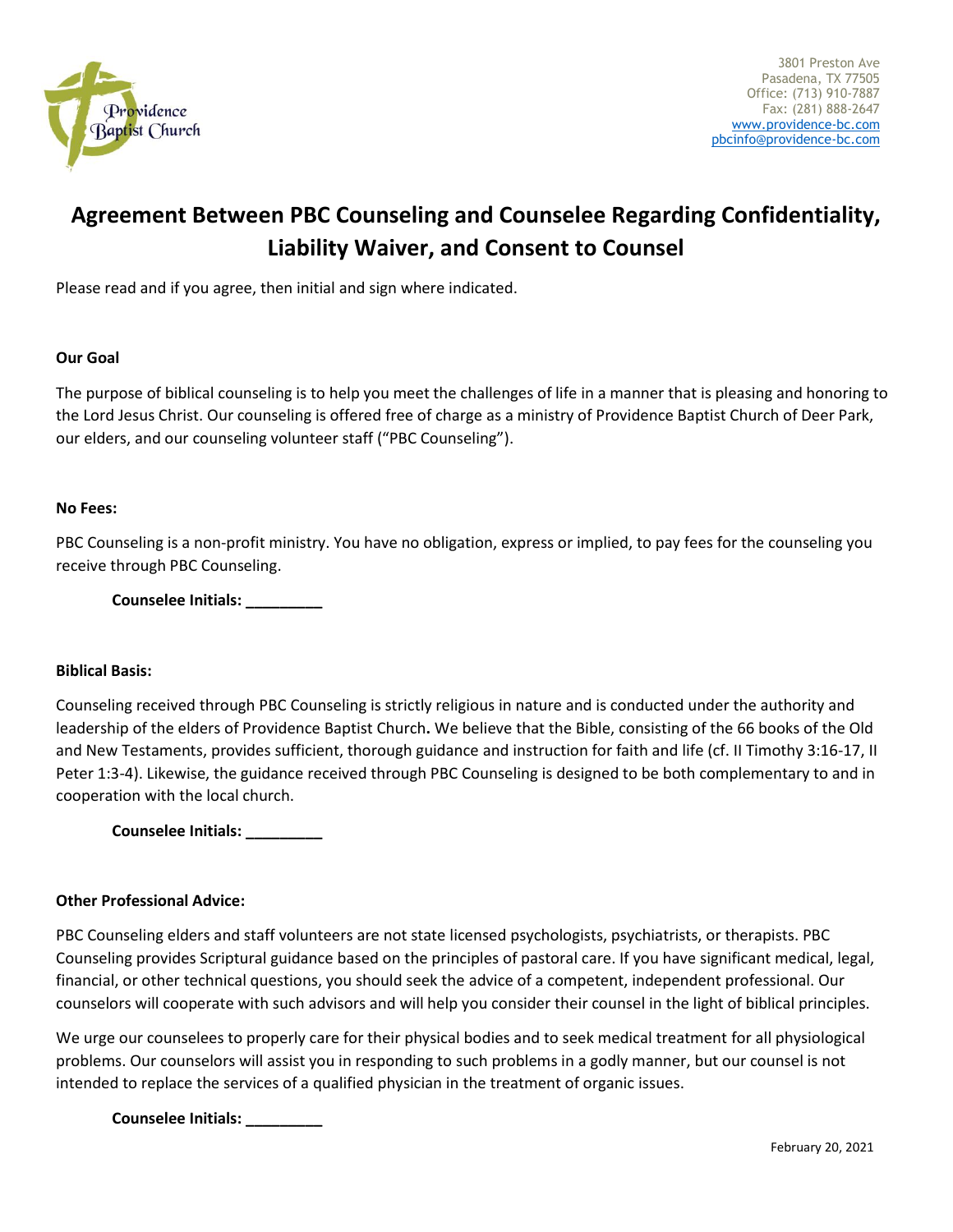

# **Agreement Between PBC Counseling and Counselee Regarding Confidentiality, Liability Waiver, and Consent to Counsel**

Please read and if you agree, then initial and sign where indicated.

## **Our Goal**

The purpose of biblical counseling is to help you meet the challenges of life in a manner that is pleasing and honoring to the Lord Jesus Christ. Our counseling is offered free of charge as a ministry of Providence Baptist Church of Deer Park, our elders, and our counseling volunteer staff ("PBC Counseling").

## **No Fees:**

PBC Counseling is a non-profit ministry. You have no obligation, express or implied, to pay fees for the counseling you receive through PBC Counseling.

**Counselee Initials: \_\_\_\_\_\_\_\_\_**

## **Biblical Basis:**

Counseling received through PBC Counseling is strictly religious in nature and is conducted under the authority and leadership of the elders of Providence Baptist Church**.** We believe that the Bible, consisting of the 66 books of the Old and New Testaments, provides sufficient, thorough guidance and instruction for faith and life (cf. II Timothy 3:16-17, II Peter 1:3-4). Likewise, the guidance received through PBC Counseling is designed to be both complementary to and in cooperation with the local church.

**Counselee Initials: \_\_\_\_\_\_\_\_\_**

## **Other Professional Advice:**

PBC Counseling elders and staff volunteers are not state licensed psychologists, psychiatrists, or therapists. PBC Counseling provides Scriptural guidance based on the principles of pastoral care. If you have significant medical, legal, financial, or other technical questions, you should seek the advice of a competent, independent professional. Our counselors will cooperate with such advisors and will help you consider their counsel in the light of biblical principles.

We urge our counselees to properly care for their physical bodies and to seek medical treatment for all physiological problems. Our counselors will assist you in responding to such problems in a godly manner, but our counsel is not intended to replace the services of a qualified physician in the treatment of organic issues.

**Counselee Initials: \_\_\_\_\_\_\_\_\_**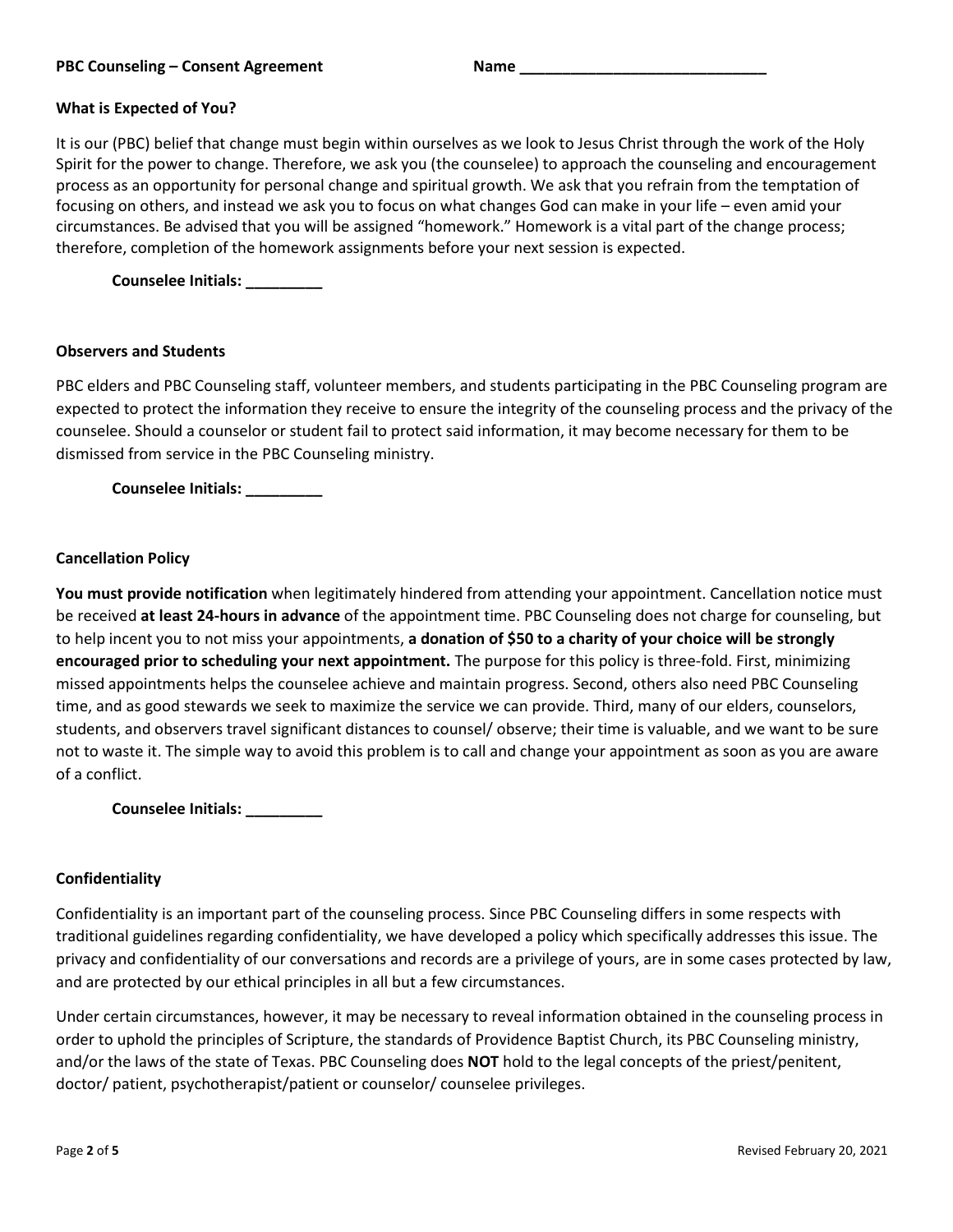# **What is Expected of You?**

It is our (PBC) belief that change must begin within ourselves as we look to Jesus Christ through the work of the Holy Spirit for the power to change. Therefore, we ask you (the counselee) to approach the counseling and encouragement process as an opportunity for personal change and spiritual growth. We ask that you refrain from the temptation of focusing on others, and instead we ask you to focus on what changes God can make in your life – even amid your circumstances. Be advised that you will be assigned "homework." Homework is a vital part of the change process; therefore, completion of the homework assignments before your next session is expected.

**Counselee Initials: \_\_\_\_\_\_\_\_\_**

## **Observers and Students**

PBC elders and PBC Counseling staff, volunteer members, and students participating in the PBC Counseling program are expected to protect the information they receive to ensure the integrity of the counseling process and the privacy of the counselee. Should a counselor or student fail to protect said information, it may become necessary for them to be dismissed from service in the PBC Counseling ministry.

**Counselee Initials: \_\_\_\_\_\_\_\_\_**

## **Cancellation Policy**

**You must provide notification** when legitimately hindered from attending your appointment. Cancellation notice must be received **at least 24-hours in advance** of the appointment time. PBC Counseling does not charge for counseling, but to help incent you to not miss your appointments, **a donation of \$50 to a charity of your choice will be strongly encouraged prior to scheduling your next appointment.** The purpose for this policy is three-fold. First, minimizing missed appointments helps the counselee achieve and maintain progress. Second, others also need PBC Counseling time, and as good stewards we seek to maximize the service we can provide. Third, many of our elders, counselors, students, and observers travel significant distances to counsel/ observe; their time is valuable, and we want to be sure not to waste it. The simple way to avoid this problem is to call and change your appointment as soon as you are aware of a conflict.

**Counselee Initials: \_\_\_\_\_\_\_\_\_**

#### **Confidentiality**

Confidentiality is an important part of the counseling process. Since PBC Counseling differs in some respects with traditional guidelines regarding confidentiality, we have developed a policy which specifically addresses this issue. The privacy and confidentiality of our conversations and records are a privilege of yours, are in some cases protected by law, and are protected by our ethical principles in all but a few circumstances.

Under certain circumstances, however, it may be necessary to reveal information obtained in the counseling process in order to uphold the principles of Scripture, the standards of Providence Baptist Church, its PBC Counseling ministry, and/or the laws of the state of Texas. PBC Counseling does **NOT** hold to the legal concepts of the priest/penitent, doctor/ patient, psychotherapist/patient or counselor/ counselee privileges.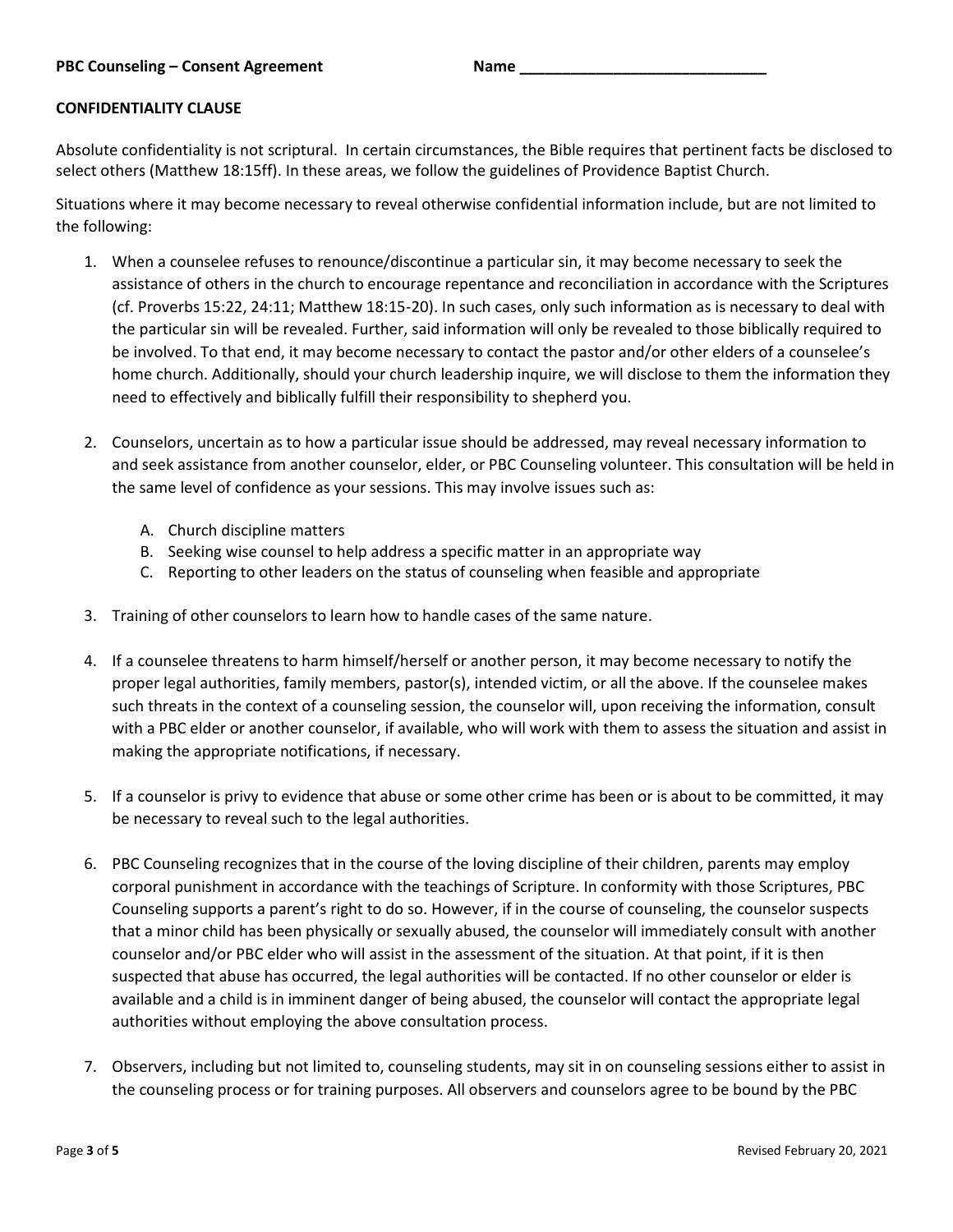## **CONFIDENTIALITY CLAUSE**

Absolute confidentiality is not scriptural. In certain circumstances, the Bible requires that pertinent facts be disclosed to select others (Matthew 18:15ff). In these areas, we follow the guidelines of Providence Baptist Church.

Situations where it may become necessary to reveal otherwise confidential information include, but are not limited to the following:

- 1. When a counselee refuses to renounce/discontinue a particular sin, it may become necessary to seek the assistance of others in the church to encourage repentance and reconciliation in accordance with the Scriptures (cf. Proverbs 15:22, 24:11; Matthew 18:15-20). In such cases, only such information as is necessary to deal with the particular sin will be revealed. Further, said information will only be revealed to those biblically required to be involved. To that end, it may become necessary to contact the pastor and/or other elders of a counselee's home church. Additionally, should your church leadership inquire, we will disclose to them the information they need to effectively and biblically fulfill their responsibility to shepherd you.
- 2. Counselors, uncertain as to how a particular issue should be addressed, may reveal necessary information to and seek assistance from another counselor, elder, or PBC Counseling volunteer. This consultation will be held in the same level of confidence as your sessions. This may involve issues such as:
	- A. Church discipline matters
	- B. Seeking wise counsel to help address a specific matter in an appropriate way
	- C. Reporting to other leaders on the status of counseling when feasible and appropriate
- 3. Training of other counselors to learn how to handle cases of the same nature.
- 4. If a counselee threatens to harm himself/herself or another person, it may become necessary to notify the proper legal authorities, family members, pastor(s), intended victim, or all the above. If the counselee makes such threats in the context of a counseling session, the counselor will, upon receiving the information, consult with a PBC elder or another counselor, if available, who will work with them to assess the situation and assist in making the appropriate notifications, if necessary.
- 5. If a counselor is privy to evidence that abuse or some other crime has been or is about to be committed, it may be necessary to reveal such to the legal authorities.
- 6. PBC Counseling recognizes that in the course of the loving discipline of their children, parents may employ corporal punishment in accordance with the teachings of Scripture. In conformity with those Scriptures, PBC Counseling supports a parent's right to do so. However, if in the course of counseling, the counselor suspects that a minor child has been physically or sexually abused, the counselor will immediately consult with another counselor and/or PBC elder who will assist in the assessment of the situation. At that point, if it is then suspected that abuse has occurred, the legal authorities will be contacted. If no other counselor or elder is available and a child is in imminent danger of being abused, the counselor will contact the appropriate legal authorities without employing the above consultation process.
- 7. Observers, including but not limited to, counseling students, may sit in on counseling sessions either to assist in the counseling process or for training purposes. All observers and counselors agree to be bound by the PBC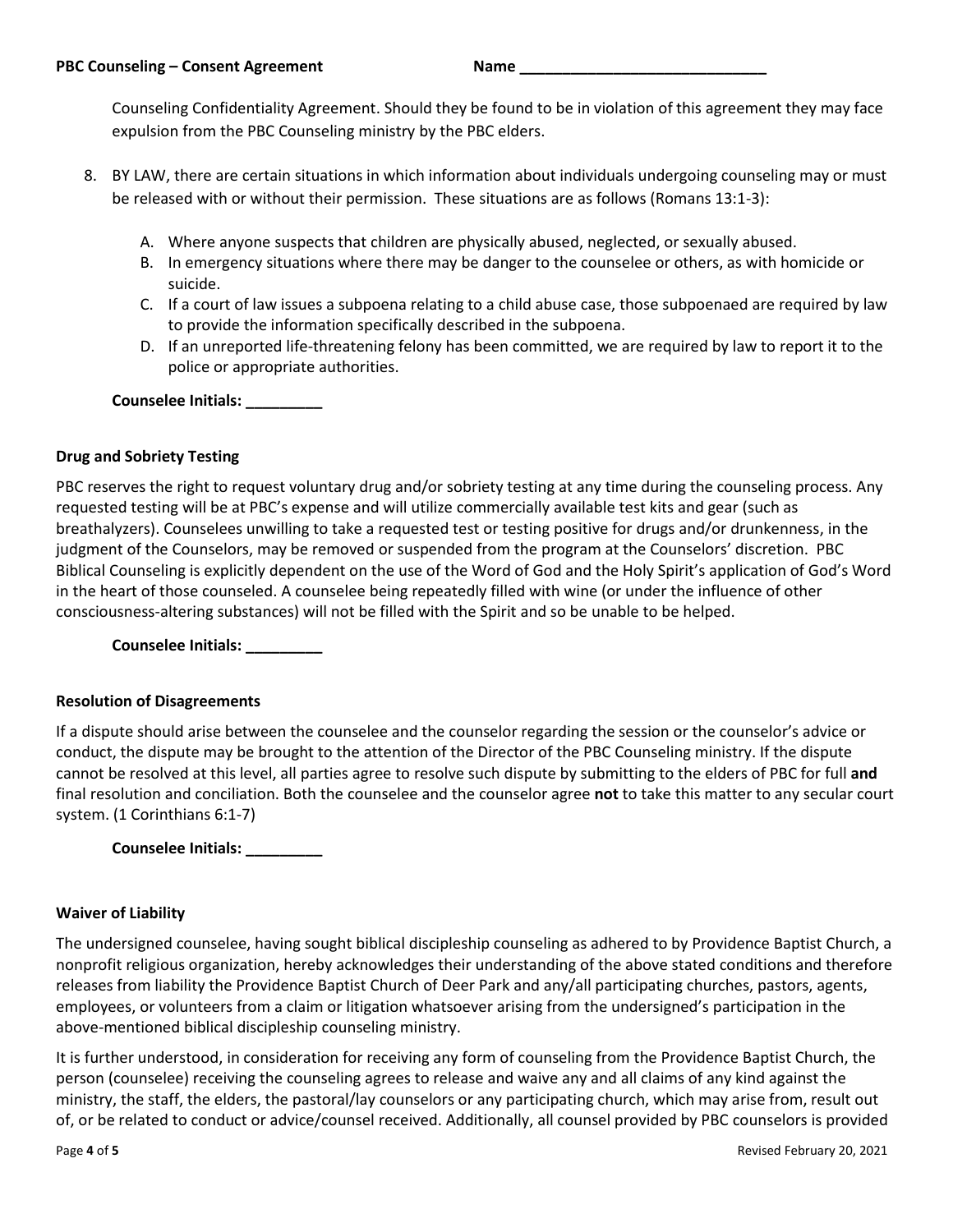Counseling Confidentiality Agreement. Should they be found to be in violation of this agreement they may face expulsion from the PBC Counseling ministry by the PBC elders.

- 8. BY LAW, there are certain situations in which information about individuals undergoing counseling may or must be released with or without their permission. These situations are as follows (Romans 13:1-3):
	- A. Where anyone suspects that children are physically abused, neglected, or sexually abused.
	- B. In emergency situations where there may be danger to the counselee or others, as with homicide or suicide.
	- C. If a court of law issues a subpoena relating to a child abuse case, those subpoenaed are required by law to provide the information specifically described in the subpoena.
	- D. If an unreported life-threatening felony has been committed, we are required by law to report it to the police or appropriate authorities.

**Counselee Initials: \_\_\_\_\_\_\_\_\_**

# **Drug and Sobriety Testing**

PBC reserves the right to request voluntary drug and/or sobriety testing at any time during the counseling process. Any requested testing will be at PBC's expense and will utilize commercially available test kits and gear (such as breathalyzers). Counselees unwilling to take a requested test or testing positive for drugs and/or drunkenness, in the judgment of the Counselors, may be removed or suspended from the program at the Counselors' discretion. PBC Biblical Counseling is explicitly dependent on the use of the Word of God and the Holy Spirit's application of God's Word in the heart of those counseled. A counselee being repeatedly filled with wine (or under the influence of other consciousness-altering substances) will not be filled with the Spirit and so be unable to be helped.

**Counselee Initials: \_\_\_\_\_\_\_\_\_**

## **Resolution of Disagreements**

If a dispute should arise between the counselee and the counselor regarding the session or the counselor's advice or conduct, the dispute may be brought to the attention of the Director of the PBC Counseling ministry. If the dispute cannot be resolved at this level, all parties agree to resolve such dispute by submitting to the elders of PBC for full **and** final resolution and conciliation. Both the counselee and the counselor agree **not** to take this matter to any secular court system. (1 Corinthians 6:1-7)

**Counselee Initials: \_\_\_\_\_\_\_\_\_**

## **Waiver of Liability**

The undersigned counselee, having sought biblical discipleship counseling as adhered to by Providence Baptist Church, a nonprofit religious organization, hereby acknowledges their understanding of the above stated conditions and therefore releases from liability the Providence Baptist Church of Deer Park and any/all participating churches, pastors, agents, employees, or volunteers from a claim or litigation whatsoever arising from the undersigned's participation in the above-mentioned biblical discipleship counseling ministry.

It is further understood, in consideration for receiving any form of counseling from the Providence Baptist Church, the person (counselee) receiving the counseling agrees to release and waive any and all claims of any kind against the ministry, the staff, the elders, the pastoral/lay counselors or any participating church, which may arise from, result out of, or be related to conduct or advice/counsel received. Additionally, all counsel provided by PBC counselors is provided